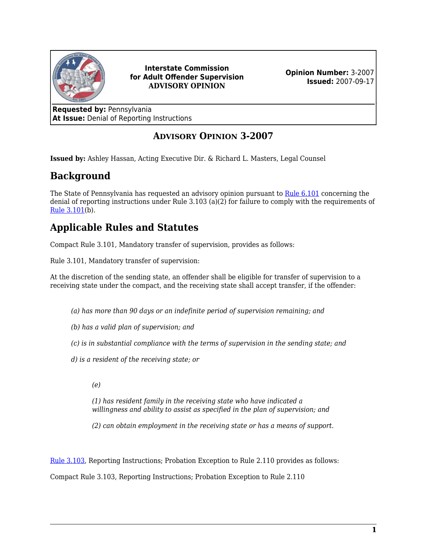

**Interstate Commission for Adult Offender Supervision ADVISORY OPINION**

**Opinion Number:** 3-2007 **Issued:** 2007-09-17

**Requested by:** Pennsylvania **At Issue:** Denial of Reporting Instructions

#### **ADVISORY OPINION 3-2007**

**Issued by:** Ashley Hassan, Acting Executive Dir. & Richard L. Masters, Legal Counsel

## **Background**

The State of Pennsylvania has requested an advisory opinion pursuant to [Rule 6.101](https://www.interstatecompact.org/icaos-rules/chapter/ch6/rule-6-101) concerning the denial of reporting instructions under Rule 3.103 (a)(2) for failure to comply with the requirements of [Rule 3.101](https://www.interstatecompact.org/icaos-rules/chapter/ch3/rule-3-101)(b).

# **Applicable Rules and Statutes**

Compact Rule 3.101, Mandatory transfer of supervision, provides as follows:

Rule 3.101, Mandatory transfer of supervision:

At the discretion of the sending state, an offender shall be eligible for transfer of supervision to a receiving state under the compact, and the receiving state shall accept transfer, if the offender:

- *(a) has more than 90 days or an indefinite period of supervision remaining; and*
- *(b) has a valid plan of supervision; and*
- *(c) is in substantial compliance with the terms of supervision in the sending state; and*
- *d) is a resident of the receiving state; or*
	- *(e)*

*(1) has resident family in the receiving state who have indicated a willingness and ability to assist as specified in the plan of supervision; and*

*(2) can obtain employment in the receiving state or has a means of support.*

[Rule 3.103](https://www.interstatecompact.org/icaos-rules/chapter/ch3/rule-3-103), Reporting Instructions; Probation Exception to Rule 2.110 provides as follows:

Compact Rule 3.103, Reporting Instructions; Probation Exception to Rule 2.110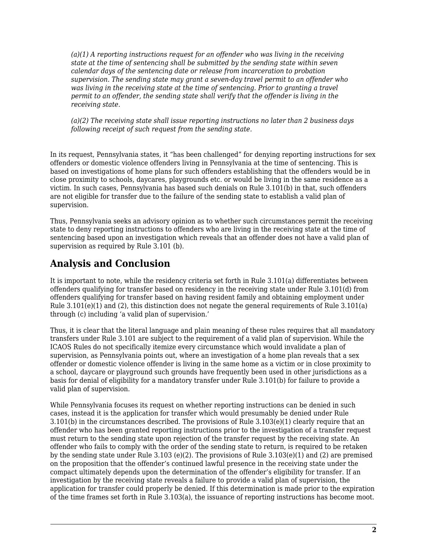*(a)(1) A reporting instructions request for an offender who was living in the receiving state at the time of sentencing shall be submitted by the sending state within seven calendar days of the sentencing date or release from incarceration to probation supervision. The sending state may grant a seven-day travel permit to an offender who was living in the receiving state at the time of sentencing. Prior to granting a travel permit to an offender, the sending state shall verify that the offender is living in the receiving state.*

*(a)(2) The receiving state shall issue reporting instructions no later than 2 business days following receipt of such request from the sending state.*

In its request, Pennsylvania states, it "has been challenged" for denying reporting instructions for sex offenders or domestic violence offenders living in Pennsylvania at the time of sentencing. This is based on investigations of home plans for such offenders establishing that the offenders would be in close proximity to schools, daycares, playgrounds etc. or would be living in the same residence as a victim. In such cases, Pennsylvania has based such denials on Rule 3.101(b) in that, such offenders are not eligible for transfer due to the failure of the sending state to establish a valid plan of supervision.

Thus, Pennsylvania seeks an advisory opinion as to whether such circumstances permit the receiving state to deny reporting instructions to offenders who are living in the receiving state at the time of sentencing based upon an investigation which reveals that an offender does not have a valid plan of supervision as required by Rule 3.101 (b).

### **Analysis and Conclusion**

It is important to note, while the residency criteria set forth in Rule 3.101(a) differentiates between offenders qualifying for transfer based on residency in the receiving state under Rule 3.101(d) from offenders qualifying for transfer based on having resident family and obtaining employment under Rule  $3.101(e)(1)$  and  $(2)$ , this distinction does not negate the general requirements of Rule  $3.101(a)$ through (c) including 'a valid plan of supervision.'

Thus, it is clear that the literal language and plain meaning of these rules requires that all mandatory transfers under Rule 3.101 are subject to the requirement of a valid plan of supervision. While the ICAOS Rules do not specifically itemize every circumstance which would invalidate a plan of supervision, as Pennsylvania points out, where an investigation of a home plan reveals that a sex offender or domestic violence offender is living in the same home as a victim or in close proximity to a school, daycare or playground such grounds have frequently been used in other jurisdictions as a basis for denial of eligibility for a mandatory transfer under Rule 3.101(b) for failure to provide a valid plan of supervision.

While Pennsylvania focuses its request on whether reporting instructions can be denied in such cases, instead it is the application for transfer which would presumably be denied under Rule 3.101(b) in the circumstances described. The provisions of Rule 3.103(e)(1) clearly require that an offender who has been granted reporting instructions prior to the investigation of a transfer request must return to the sending state upon rejection of the transfer request by the receiving state. An offender who fails to comply with the order of the sending state to return, is required to be retaken by the sending state under Rule 3.103 (e)(2). The provisions of Rule 3.103(e)(1) and (2) are premised on the proposition that the offender's continued lawful presence in the receiving state under the compact ultimately depends upon the determination of the offender's eligibility for transfer. If an investigation by the receiving state reveals a failure to provide a valid plan of supervision, the application for transfer could properly be denied. If this determination is made prior to the expiration of the time frames set forth in Rule 3.103(a), the issuance of reporting instructions has become moot.